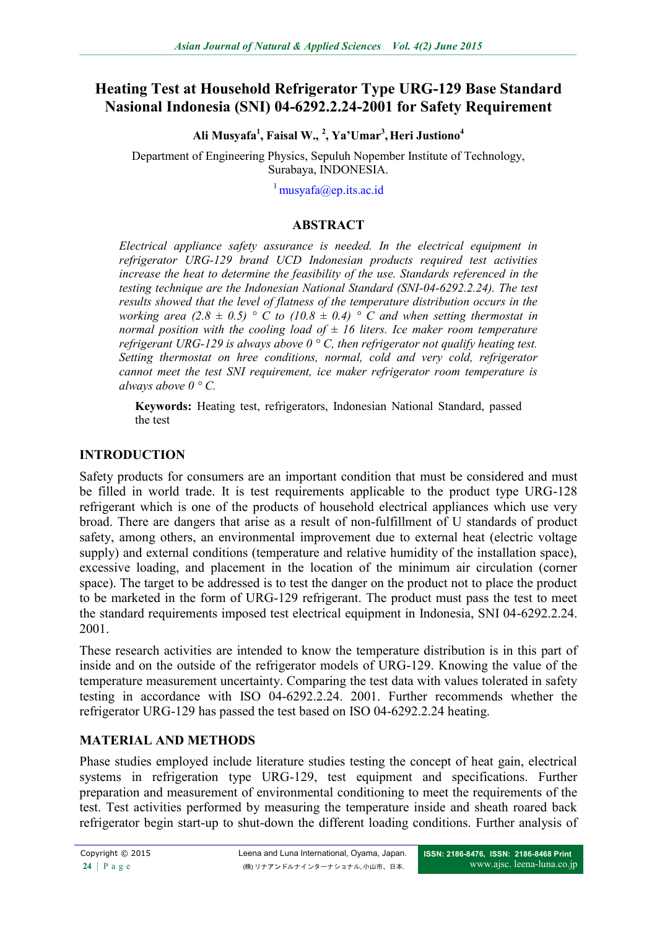# **Heating Test at Household Refrigerator Type URG-129 Base Standard Nasional Indonesia (SNI) 04-6292.2.24-2001 for Safety Requirement**

**Ali Musyafa<sup>1</sup> , Faisal W., <sup>2</sup> , Ya'Umar<sup>3</sup> ,Heri Justiono<sup>4</sup>**

Department of Engineering Physics, Sepuluh Nopember Institute of Technology, Surabaya, INDONESIA.

 $^1$  [musyafa@ep.its.ac.id](mailto:musyafa@ep.its.ac.id)

#### **ABSTRACT**

*Electrical appliance safety assurance is needed. In the electrical equipment in refrigerator URG-129 brand UCD Indonesian products required test activities increase the heat to determine the feasibility of the use. Standards referenced in the testing technique are the Indonesian National Standard (SNI-04-6292.2.24). The test results showed that the level of flatness of the temperature distribution occurs in the working area (2.8*  $\pm$  *0.5)* ° C to (10.8  $\pm$  0.4) ° C and when setting thermostat in *normal position with the cooling load of*  $\pm$  *16 liters. Ice maker room temperature refrigerant URG-129 is always above 0 ° C, then refrigerator not qualify heating test. Setting thermostat on hree conditions, normal, cold and very cold, refrigerator cannot meet the test SNI requirement, ice maker refrigerator room temperature is always above 0 ° C.*

**Keywords:** Heating test, refrigerators, Indonesian National Standard, passed the test

### **INTRODUCTION**

Safety products for consumers are an important condition that must be considered and must be filled in world trade. It is test requirements applicable to the product type URG-128 refrigerant which is one of the products of household electrical appliances which use very broad. There are dangers that arise as a result of non-fulfillment of U standards of product safety, among others, an environmental improvement due to external heat (electric voltage supply) and external conditions (temperature and relative humidity of the installation space), excessive loading, and placement in the location of the minimum air circulation (corner space). The target to be addressed is to test the danger on the product not to place the product to be marketed in the form of URG-129 refrigerant. The product must pass the test to meet the standard requirements imposed test electrical equipment in Indonesia, SNI 04-6292.2.24. 2001.

These research activities are intended to know the temperature distribution is in this part of inside and on the outside of the refrigerator models of URG-129. Knowing the value of the temperature measurement uncertainty. Comparing the test data with values tolerated in safety testing in accordance with ISO 04-6292.2.24. 2001. Further recommends whether the refrigerator URG-129 has passed the test based on ISO 04-6292.2.24 heating.

### **MATERIAL AND METHODS**

Phase studies employed include literature studies testing the concept of heat gain, electrical systems in refrigeration type URG-129, test equipment and specifications. Further preparation and measurement of environmental conditioning to meet the requirements of the test. Test activities performed by measuring the temperature inside and sheath roared back refrigerator begin start-up to shut-down the different loading conditions. Further analysis of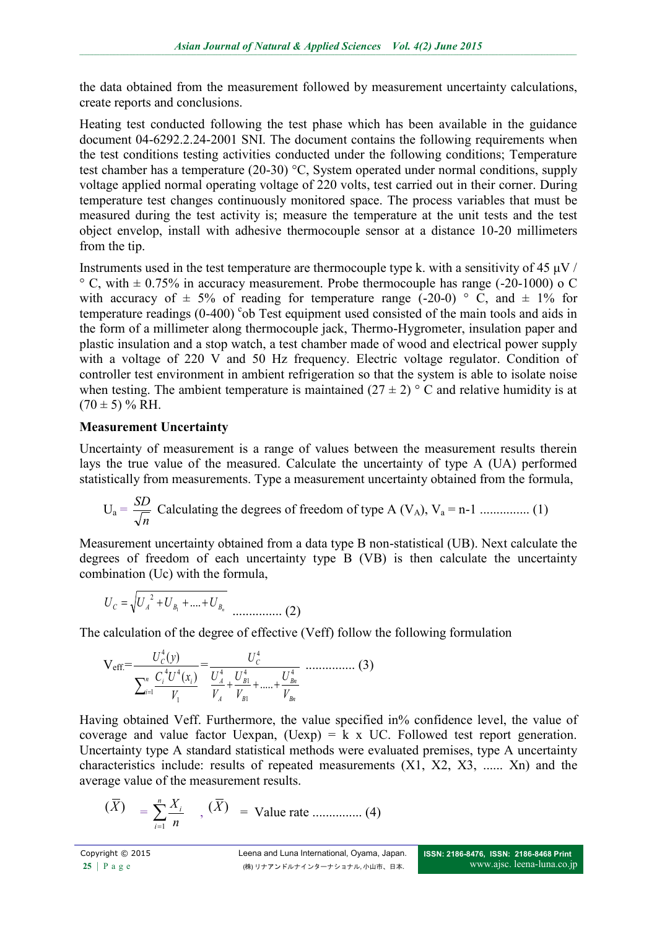the data obtained from the measurement followed by measurement uncertainty calculations, create reports and conclusions.

Heating test conducted following the test phase which has been available in the guidance document 04-6292.2.24-2001 SNI. The document contains the following requirements when the test conditions testing activities conducted under the following conditions; Temperature test chamber has a temperature (20-30) °C, System operated under normal conditions, supply voltage applied normal operating voltage of 220 volts, test carried out in their corner. During temperature test changes continuously monitored space. The process variables that must be measured during the test activity is; measure the temperature at the unit tests and the test object envelop, install with adhesive thermocouple sensor at a distance 10-20 millimeters from the tip.

Instruments used in the test temperature are thermocouple type k. with a sensitivity of 45  $\mu$ V /  $\degree$  C, with  $\pm$  0.75% in accuracy measurement. Probe thermocouple has range (-20-1000) o C with accuracy of  $\pm$  5% of reading for temperature range (-20-0) ° C, and  $\pm$  1% for temperature readings (0-400) <sup>c</sup>ob Test equipment used consisted of the main tools and aids in the form of a millimeter along thermocouple jack, Thermo-Hygrometer, insulation paper and plastic insulation and a stop watch, a test chamber made of wood and electrical power supply with a voltage of 220 V and 50 Hz frequency. Electric voltage regulator. Condition of controller test environment in ambient refrigeration so that the system is able to isolate noise when testing. The ambient temperature is maintained  $(27 \pm 2)$  ° C and relative humidity is at  $(70 \pm 5)$  % RH.

### **Measurement Uncertainty**

Uncertainty of measurement is a range of values between the measurement results therein lays the true value of the measured. Calculate the uncertainty of type A (UA) performed statistically from measurements. Type a measurement uncertainty obtained from the formula,

$$
U_a = \frac{SD}{\sqrt{n}}
$$
 Calculating the degrees of freedom of type A (V<sub>A</sub>), V<sub>a</sub> = n-1 ......... (1)

Measurement uncertainty obtained from a data type B non-statistical (UB). Next calculate the degrees of freedom of each uncertainty type B (VB) is then calculate the uncertainty combination (Uc) with the formula,

$$
U_{C} = \sqrt{U_{A}^{2} + U_{B_{1}} + \dots + U_{B_{n}}}
$$
 (2)

The calculation of the degree of effective (Veff) follow the following formulation

$$
V_{eff} = \frac{U_c^4(y)}{\sum_{i=1}^n \frac{C_i^4 U^4(x_i)}{V_1}} = \frac{U_c^4}{\frac{U_A^4}{V_A} + \frac{U_{B1}^4}{V_{B1}} + \dots + \frac{U_{Bn}^4}{V_{Bn}}}}
$$
 (3)

Having obtained Veff. Furthermore, the value specified in% confidence level, the value of coverage and value factor Uexpan,  $(Uexp) = k \times UC$ . Followed test report generation. Uncertainty type A standard statistical methods were evaluated premises, type A uncertainty characteristics include: results of repeated measurements (X1, X2, X3, ...... Xn) and the average value of the measurement results.

$$
(\overline{X}) = \sum_{i=1}^{n} \frac{X_i}{n}, \quad (\overline{X}) = \text{Value rate} \dots \dots \dots \dots \dots \tag{4}
$$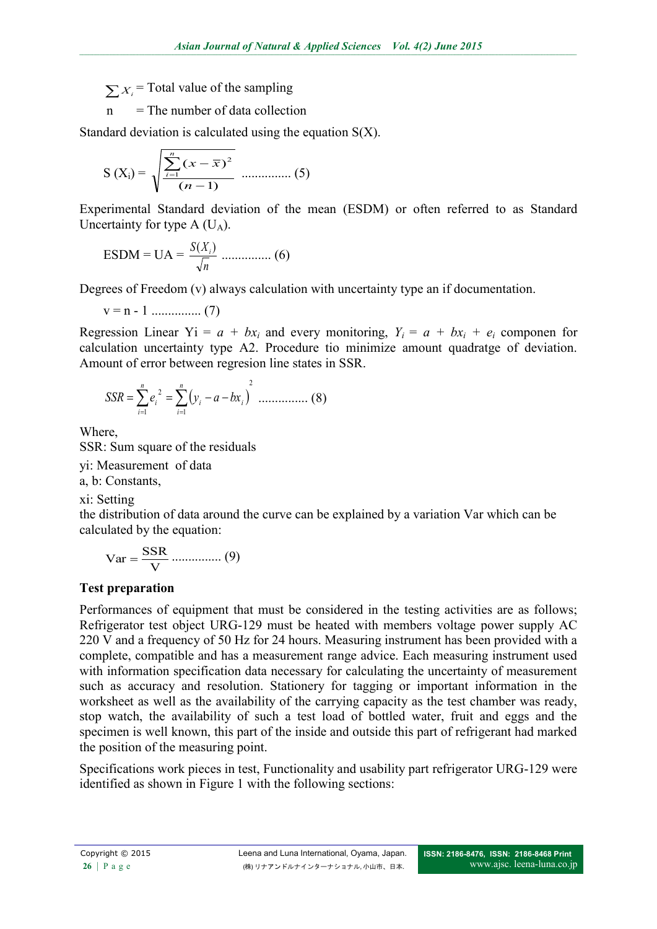$\sum_{i=1}^{n} X_i$  = Total value of the sampling

 $n =$ The number of data collection

Standard deviation is calculated using the equation S(X).

$$
S(X_i) = \sqrt{\frac{\sum_{i=1}^{n} (x - \bar{x})^2}{(n-1)}} \dots \dots \dots \dots \dots (5)
$$

Experimental Standard deviation of the mean (ESDM) or often referred to as Standard Uncertainty for type  $A$  (U<sub>A</sub>).

$$
ESDM = UA = \frac{S(X_i)}{\sqrt{n}} \dots (6)
$$

Degrees of Freedom (v) always calculation with uncertainty type an if documentation.

$$
v = n - 1 \dots \dots \dots \dots \dots (7)
$$

Regression Linear  $Y_i = a + bx_i$  and every monitoring,  $Y_i = a + bx_i + e_i$  componen for calculation uncertainty type A2. Procedure tio minimize amount quadratge of deviation. Amount of error between regresion line states in SSR.

$$
SSR = \sum_{i=1}^{n} e_i^2 = \sum_{i=1}^{n} (y_i - a - bx_i)^2 \dots \dots \dots \dots \dots \tag{8}
$$

Where,

SSR: Sum square of the residuals

yi: Measurement of data

a, b: Constants,

xi: Setting

the distribution of data around the curve can be explained by a variation Var which can be calculated by the equation:

$$
Var = \frac{SSR}{V} \dots \dots \dots \dots \dots \dots (9)
$$

## **Test preparation**

 $\Sigma x_i$  = Total value of the sampling<br>
and The number of data collection<br>
and deviation is calculated using the equation S(X).<br>
S(X) =  $\sqrt{\sum_i (x_i - \bar{x})^i}$ <br>
simple the mean (ESDM) or other referred to as Standard<br>
simply for Performances of equipment that must be considered in the testing activities are as follows: Refrigerator test object URG-129 must be heated with members voltage power supply AC 220 V and a frequency of 50 Hz for 24 hours. Measuring instrument has been provided with a complete, compatible and has a measurement range advice. Each measuring instrument used with information specification data necessary for calculating the uncertainty of measurement such as accuracy and resolution. Stationery for tagging or important information in the worksheet as well as the availability of the carrying capacity as the test chamber was ready, stop watch, the availability of such a test load of bottled water, fruit and eggs and the specimen is well known, this part of the inside and outside this part of refrigerant had marked the position of the measuring point.

Specifications work pieces in test, Functionality and usability part refrigerator URG-129 were identified as shown in Figure 1 with the following sections: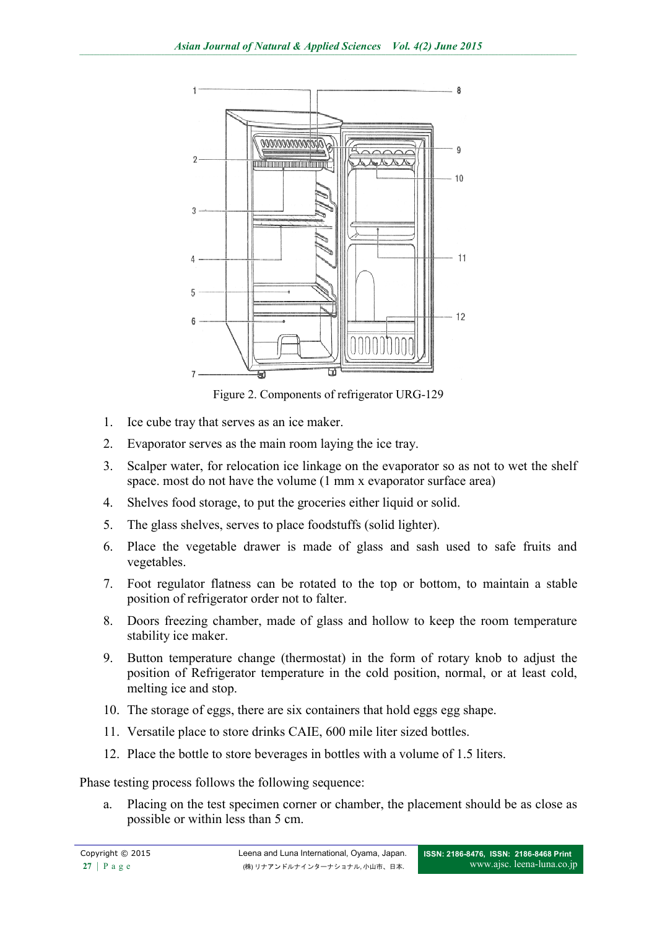

Figure 2. Components of refrigerator URG-129

- 1. Ice cube tray that serves as an ice maker.
- 2. Evaporator serves as the main room laying the ice tray.
- 3. Scalper water, for relocation ice linkage on the evaporator so as not to wet the shelf space. most do not have the volume (1 mm x evaporator surface area)
- 4. Shelves food storage, to put the groceries either liquid or solid.
- 5. The glass shelves, serves to place foodstuffs (solid lighter).
- 6. Place the vegetable drawer is made of glass and sash used to safe fruits and vegetables.
- 7. Foot regulator flatness can be rotated to the top or bottom, to maintain a stable position of refrigerator order not to falter.
- 8. Doors freezing chamber, made of glass and hollow to keep the room temperature stability ice maker.
- 9. Button temperature change (thermostat) in the form of rotary knob to adjust the position of Refrigerator temperature in the cold position, normal, or at least cold, melting ice and stop.
- 10. The storage of eggs, there are six containers that hold eggs egg shape.
- 11. Versatile place to store drinks CAIE, 600 mile liter sized bottles.
- 12. Place the bottle to store beverages in bottles with a volume of 1.5 liters.

Phase testing process follows the following sequence:

a. Placing on the test specimen corner or chamber, the placement should be as close as possible or within less than 5 cm.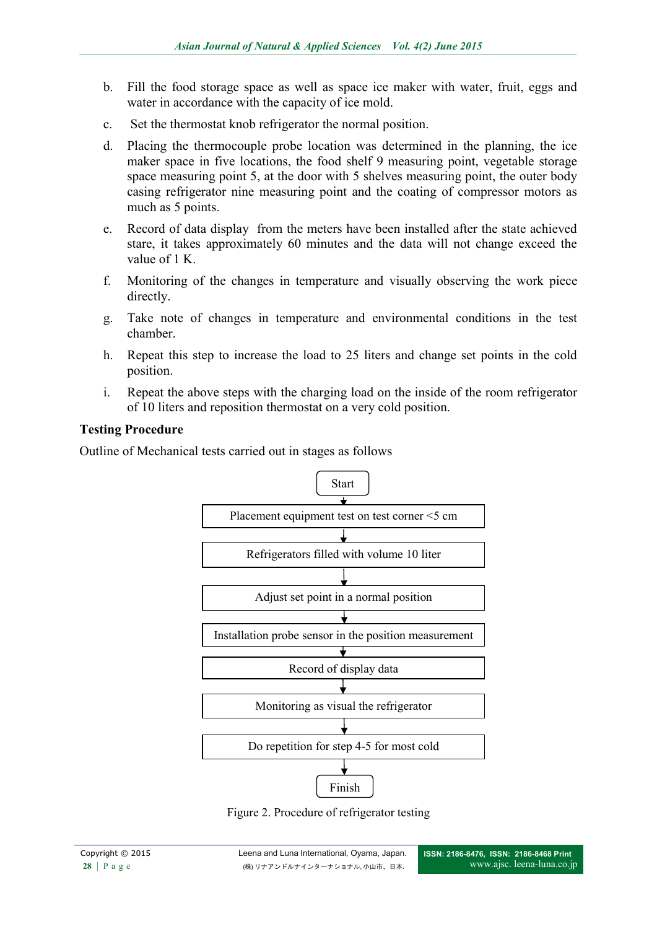- b. Fill the food storage space as well as space ice maker with water, fruit, eggs and water in accordance with the capacity of ice mold.
- c. Set the thermostat knob refrigerator the normal position.
- d. Placing the thermocouple probe location was determined in the planning, the ice maker space in five locations, the food shelf 9 measuring point, vegetable storage space measuring point 5, at the door with 5 shelves measuring point, the outer body casing refrigerator nine measuring point and the coating of compressor motors as much as 5 points.
- e. Record of data display from the meters have been installed after the state achieved stare, it takes approximately 60 minutes and the data will not change exceed the value of 1 K.
- f. Monitoring of the changes in temperature and visually observing the work piece directly.
- g. Take note of changes in temperature and environmental conditions in the test chamber.
- h. Repeat this step to increase the load to 25 liters and change set points in the cold position.
- i. Repeat the above steps with the charging load on the inside of the room refrigerator of 10 liters and reposition thermostat on a very cold position.

### **Testing Procedure**

Outline of Mechanical tests carried out in stages as follows



Figure 2. Procedure of refrigerator testing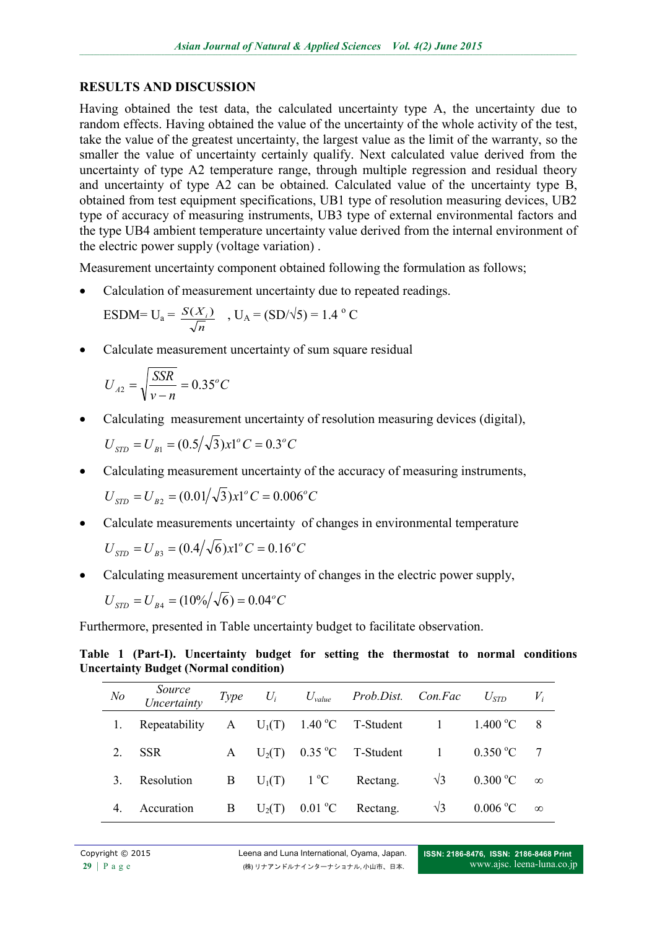### **RESULTS AND DISCUSSION**

Having obtained the test data, the calculated uncertainty type A, the uncertainty due to random effects. Having obtained the value of the uncertainty of the whole activity of the test, take the value of the greatest uncertainty, the largest value as the limit of the warranty, so the smaller the value of uncertainty certainly qualify. Next calculated value derived from the uncertainty of type A2 temperature range, through multiple regression and residual theory and uncertainty of type A2 can be obtained. Calculated value of the uncertainty type B, obtained from test equipment specifications, UB1 type of resolution measuring devices, UB2 type of accuracy of measuring instruments, UB3 type of external environmental factors and the type UB4 ambient temperature uncertainty value derived from the internal environment of the electric power supply (voltage variation) .

Measurement uncertainty component obtained following the formulation as follows;

Calculation of measurement uncertainty due to repeated readings.

$$
ESDM=U_a = \frac{S(X_i)}{\sqrt{n}} , U_A = (SD/\sqrt{5}) = 1.4 °C
$$

Calculate measurement uncertainty of sum square residual

$$
U_{A2} = \sqrt{\frac{SSR}{v - n}} = 0.35^{\circ}C
$$

Calculating measurement uncertainty of resolution measuring devices (digital),

$$
U_{STD} = U_{B1} = (0.5/\sqrt{3})x1^{\circ}C = 0.3^{\circ}C
$$

Calculating measurement uncertainty of the accuracy of measuring instruments,

$$
U_{\rm STD} = U_{B2} = (0.01/\sqrt{3})x1^{\circ}C = 0.006^{\circ}C
$$

- Calculate measurements uncertainty of changes in environmental temperature  $U_{\rm SID} = U_{\rm B3} = (0.4/\sqrt{6})x1^{\circ}C = 0.16^{\circ}C$  $S_{\text{GID}} = U_{B3} = (0.4/\sqrt{6}) \times 1^{\circ} C = 0.16$
- Calculating measurement uncertainty of changes in the electric power supply,

$$
U_{\rm STD} = U_{B4} = (10\% / \sqrt{6}) = 0.04^{\circ}C
$$

Furthermore, presented in Table uncertainty budget to facilitate observation.

**Table 1 (Part-I). Uncertainty budget for setting the thermostat to normal conditions Uncertainty Budget (Normal condition)**

| $N$ o   | Source<br>Uncertainty | Type | $U_i$    |              | $U_{value}$ Prob.Dist. Con.Fac |                | $U_{\mathit{STD}}$ | $V_i$    |
|---------|-----------------------|------|----------|--------------|--------------------------------|----------------|--------------------|----------|
|         | Repeatability         |      |          |              | A $U_1(T)$ 1.40 °C T-Student   |                | 1.400 °C           | 8        |
| $2_{-}$ | <b>SSR</b>            | A    | $U_2(T)$ |              | $0.35 \text{ °C}$ T-Student    | $\overline{1}$ | 0.350 °C           |          |
| 3.      | Resolution            | B    | $U_1(T)$ | $1^{\circ}C$ | Rectang.                       | $\sqrt{3}$     | $0.300 \degree C$  | $\infty$ |
| 4.      | Accuration            | B    | $U_2(T)$ |              | $0.01 \, \text{°C}$ Rectang.   | $\sqrt{3}$     | 0.006 °C           | $\infty$ |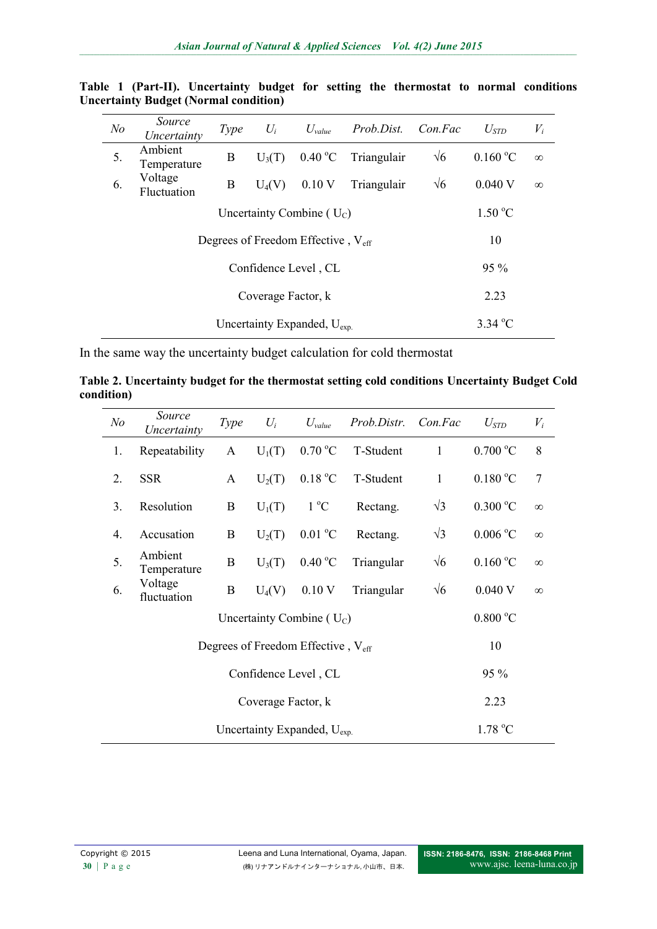| N <sub>o</sub>                | Source<br>Uncertainty                          | Type                                  | $U_i$            | $U_{value}$     | <i>Prob.Dist.</i> | Con.Fac    | $U_{STD}$ | $V_i$    |  |
|-------------------------------|------------------------------------------------|---------------------------------------|------------------|-----------------|-------------------|------------|-----------|----------|--|
| 5.                            | Ambient<br>Temperature                         | B                                     | $U_3(T)$         | $0.40\degree C$ | Triangulair       | $\sqrt{6}$ | 0.160 °C  | $\infty$ |  |
| 6.                            | Voltage<br>Fluctuation                         | B<br>Triangulair<br>$U_4(V)$<br>0.10V |                  |                 |                   | $\sqrt{6}$ | $0.040$ V | $\infty$ |  |
| Uncertainty Combine ( $U_C$ ) |                                                |                                       |                  |                 |                   |            | 1.50 °C   |          |  |
|                               | Degrees of Freedom Effective, $V_{\text{eff}}$ |                                       | 10               |                 |                   |            |           |          |  |
| Confidence Level, CL          |                                                |                                       |                  |                 |                   |            | 95 %      |          |  |
| Coverage Factor, k            |                                                |                                       |                  |                 |                   |            | 2.23      |          |  |
|                               |                                                |                                       | $3.34\text{ °C}$ |                 |                   |            |           |          |  |

**Table 1 (Part-II). Uncertainty budget for setting the thermostat to normal conditions Uncertainty Budget (Normal condition)**

In the same way the uncertainty budget calculation for cold thermostat

| Table 2. Uncertainty budget for the thermostat setting cold conditions Uncertainty Budget Cold |  |  |  |  |
|------------------------------------------------------------------------------------------------|--|--|--|--|
| condition)                                                                                     |  |  |  |  |

| N <sub>o</sub> | Source<br>Uncertainty                          | <b>Type</b> | $U_i$             | $U_{value}$      | Prob.Distr. | Con.Fac      | $U_{\text{STD}}$  | $V_i$          |
|----------------|------------------------------------------------|-------------|-------------------|------------------|-------------|--------------|-------------------|----------------|
| 1.             | Repeatability                                  | A           | $U_1(T)$          | 0.70 °C          | T-Student   |              | 0.700 °C          | 8              |
| 2.             | <b>SSR</b>                                     | A           | $U_2(T)$          | 0.18 °C          | T-Student   | $\mathbf{1}$ | 0.180 °C          | $\overline{7}$ |
| 3.             | Resolution                                     | B           | $U_1(T)$          | $1^{\circ}C$     | Rectang.    |              | $0.300\text{ °C}$ | $\infty$       |
| 4.             | Accusation                                     | B           | $U_2(T)$          | $0.01\text{ °C}$ | Rectang.    | $\sqrt{3}$   | $0.006\text{ °C}$ | $\infty$       |
| 5.             | Ambient<br>Temperature                         | B           | $U_3(T)$          | $0.40\text{ °C}$ | Triangular  | $\sqrt{6}$   | 0.160 °C          | $\infty$       |
| 6.             | Voltage<br>fluctuation                         | $\bf{B}$    | $U_4(V)$          | 0.10V            | Triangular  | $\sqrt{6}$   | 0.040V            | $\infty$       |
|                |                                                |             | $0.800\text{ °C}$ |                  |             |              |                   |                |
|                | Degrees of Freedom Effective, $V_{\text{eff}}$ |             | 10                |                  |             |              |                   |                |
|                |                                                |             | 95 %              |                  |             |              |                   |                |
|                |                                                |             | 2.23              |                  |             |              |                   |                |
|                |                                                | 1.78 °C     |                   |                  |             |              |                   |                |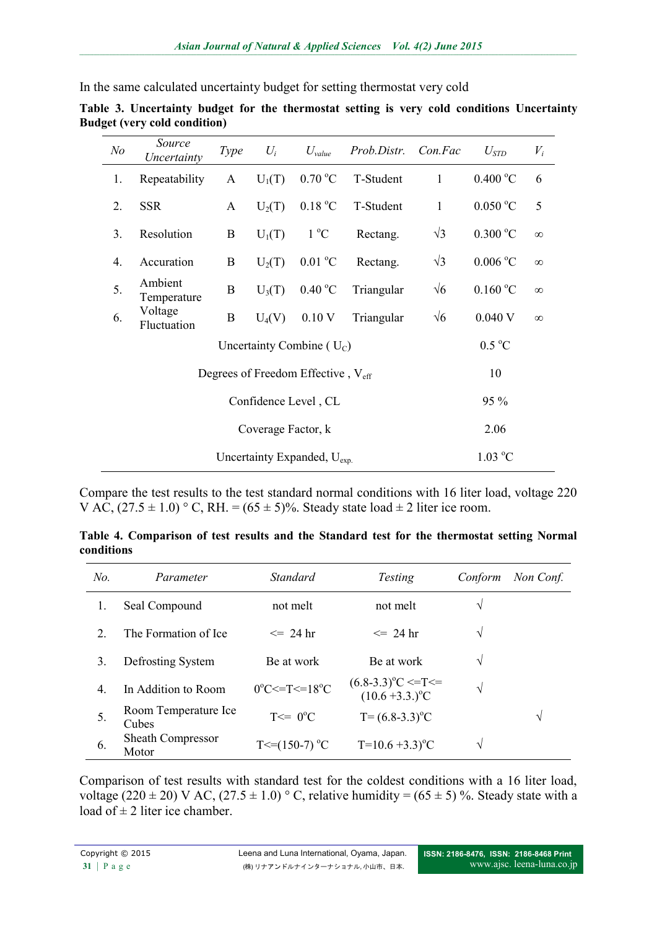In the same calculated uncertainty budget for setting thermostat very cold

| N <sub>o</sub> | Source<br>Uncertainty                          | Type         | $U_i$             | $U_{value}$      | Prob.Distr. | Con.Fac      | $U_{\text{STD}}$  | $V_i$    |
|----------------|------------------------------------------------|--------------|-------------------|------------------|-------------|--------------|-------------------|----------|
| 1.             | Repeatability                                  | $\mathbf{A}$ | $U_1(T)$          | 0.70 °C          | T-Student   | 1            | $0.400\text{ °C}$ | 6        |
| 2.             | <b>SSR</b>                                     | A            | $U_2(T)$          | 0.18 °C          | T-Student   | $\mathbf{1}$ | $0.050\text{ °C}$ | 5        |
| 3.             | Resolution                                     | B            | $U_1(T)$          | $1^{\circ}C$     | Rectang.    | $\sqrt{3}$   | $0.300\text{ °C}$ | $\infty$ |
| 4.             | Accuration                                     | B            | $U_2(T)$          | $0.01\text{ °C}$ | Rectang.    | $\sqrt{3}$   | $0.006\text{ °C}$ | $\infty$ |
| 5.             | Ambient<br>Temperature                         | B            | $U_3(T)$          | $0.40\text{ °C}$ | Triangular  | $\sqrt{6}$   | $0.160\text{ °C}$ | $\infty$ |
| 6.             | Voltage<br>Fluctuation                         | $\mathbf B$  | $U_4(V)$          | 0.10V            | Triangular  | $\sqrt{6}$   | 0.040 V           | $\infty$ |
|                |                                                |              | $0.5\text{ °C}$   |                  |             |              |                   |          |
|                | Degrees of Freedom Effective, V <sub>eff</sub> |              | 10                |                  |             |              |                   |          |
|                |                                                |              | 95 %              |                  |             |              |                   |          |
|                |                                                |              | 2.06              |                  |             |              |                   |          |
|                |                                                |              | $1.03 \text{ °C}$ |                  |             |              |                   |          |

**Table 3. Uncertainty budget for the thermostat setting is very cold conditions Uncertainty Budget (very cold condition)**

Compare the test results to the test standard normal conditions with 16 liter load, voltage 220 V AC,  $(27.5 \pm 1.0)$  ° C, RH. =  $(65 \pm 5)$ %. Steady state load  $\pm 2$  liter ice room.

|            | Table 4. Comparison of test results and the Standard test for the thermostat setting Normal |  |  |  |  |  |  |
|------------|---------------------------------------------------------------------------------------------|--|--|--|--|--|--|
| conditions |                                                                                             |  |  |  |  |  |  |

| N <sub>o</sub>              | Parameter                         | <i>Standard</i>                               | <i>Testing</i>                                              | Conform | Non Conf. |
|-----------------------------|-----------------------------------|-----------------------------------------------|-------------------------------------------------------------|---------|-----------|
|                             | Seal Compound                     | not melt                                      | not melt                                                    | V       |           |
| $\mathcal{D}_{\mathcal{L}}$ | The Formation of Ice              | $\leq$ 24 hr                                  | $\leq$ 24 hr                                                | V       |           |
| 3.                          | Defrosting System                 | Be at work                                    | Be at work                                                  | V       |           |
| $\overline{4}$ .            | In Addition to Room               | $0^{\circ}$ C $\le$ =T $\le$ =18 $^{\circ}$ C | $(6.8-3.3)^{\circ}C \leq T \leq$<br>$(10.6 + 3.3)^{\circ}C$ | ٦Ι      |           |
| 5.                          | Room Temperature Ice<br>Cubes     | $T \leq D^0 C$                                | $T = (6.8-3.3)^{\circ}C$                                    |         | V         |
| 6.                          | <b>Sheath Compressor</b><br>Motor | $T \le (150-7)$ °C                            | $T=10.6+3.3$ <sup>o</sup> C                                 | N       |           |

Comparison of test results with standard test for the coldest conditions with a 16 liter load, voltage (220  $\pm$  20) V AC, (27.5  $\pm$  1.0) ° C, relative humidity = (65  $\pm$  5) %. Steady state with a load of  $\pm$  2 liter ice chamber.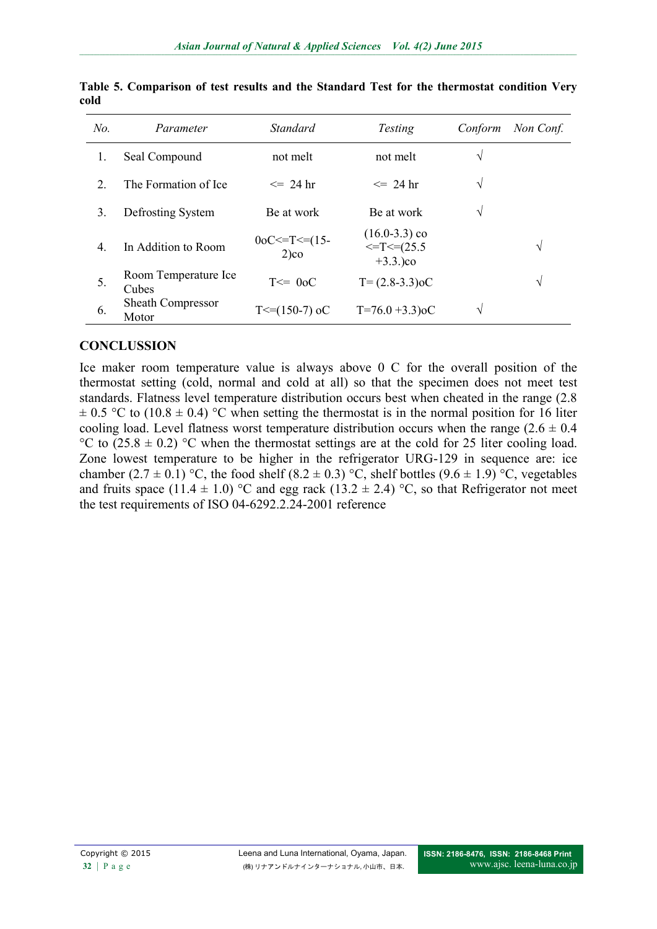| N <sub>o</sub>              | Parameter                         | <b>Standard</b>             | <b>Testing</b>                                           | Conform       | Non Conf. |
|-----------------------------|-----------------------------------|-----------------------------|----------------------------------------------------------|---------------|-----------|
|                             | Seal Compound                     | not melt                    | not melt                                                 | V             |           |
| $\mathcal{D}_{\mathcal{L}}$ | The Formation of Ice              | $\leq$ 24 hr                | $\leq$ 24 hr                                             | $\mathcal{N}$ |           |
| 3.                          | Defrosting System                 | Be at work                  | Be at work                                               | V             |           |
| $\overline{4}$ .            | In Addition to Room               | $0oC = T \le 15$<br>$2)$ co | $(16.0-3.3)$ co<br>$\leq$ T $\leq$ (25.5)<br>$+3.3.$ )co |               | V         |
| 5.                          | Room Temperature Ice<br>Cubes     | $T \leq D_0 C$              | $T = (2.8-3.3) \circ C$                                  |               | V         |
| 6.                          | <b>Sheath Compressor</b><br>Motor | $T \leq (150-7)$ oC         | $T=76.0+3.3)$ oC                                         | $\mathcal{N}$ |           |

**Table 5. Comparison of test results and the Standard Test for the thermostat condition Very cold**

### **CONCLUSSION**

Ice maker room temperature value is always above 0 C for the overall position of the thermostat setting (cold, normal and cold at all) so that the specimen does not meet test standards. Flatness level temperature distribution occurs best when cheated in the range (2.8  $\pm$  0.5 °C to (10.8  $\pm$  0.4) °C when setting the thermostat is in the normal position for 16 liter cooling load. Level flatness worst temperature distribution occurs when the range  $(2.6 \pm 0.4)$ °C to  $(25.8 \pm 0.2)$  °C when the thermostat settings are at the cold for 25 liter cooling load. Zone lowest temperature to be higher in the refrigerator URG-129 in sequence are: ice chamber (2.7  $\pm$  0.1) °C, the food shelf (8.2  $\pm$  0.3) °C, shelf bottles (9.6  $\pm$  1.9) °C, vegetables and fruits space (11.4  $\pm$  1.0) °C and egg rack (13.2  $\pm$  2.4) °C, so that Refrigerator not meet the test requirements of ISO 04-6292.2.24-2001 reference